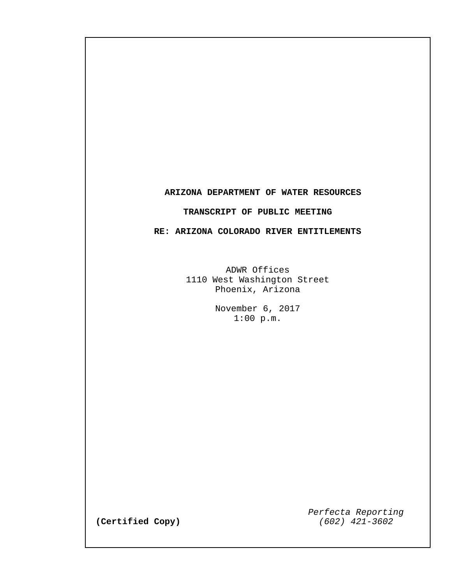## **ARIZONA DEPARTMENT OF WATER RESOURCES**

## **TRANSCRIPT OF PUBLIC MEETING**

## **RE: ARIZONA COLORADO RIVER ENTITLEMENTS**

ADWR Offices 1110 West Washington Street Phoenix, Arizona

> November 6, 2017 1:00 p.m.

> > *Perfecta Reporting*

 $(Certified Copy)$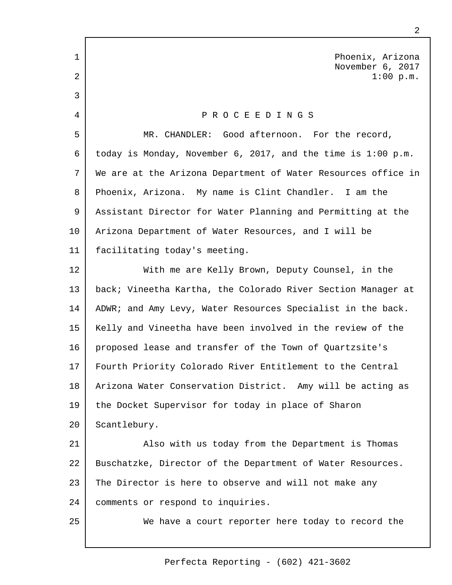Phoenix, Arizona November 6, 2017 1:00 p.m. P R O C E E D I N G S MR. CHANDLER: Good afternoon. For the record, today is Monday, November 6, 2017, and the time is 1:00 p.m. We are at the Arizona Department of Water Resources office in Phoenix, Arizona. My name is Clint Chandler. I am the Assistant Director for Water Planning and Permitting at the Arizona Department of Water Resources, and I will be facilitating today's meeting. With me are Kelly Brown, Deputy Counsel, in the back; Vineetha Kartha, the Colorado River Section Manager at ADWR; and Amy Levy, Water Resources Specialist in the back. Kelly and Vineetha have been involved in the review of the proposed lease and transfer of the Town of Quartzsite's Fourth Priority Colorado River Entitlement to the Central Arizona Water Conservation District. Amy will be acting as the Docket Supervisor for today in place of Sharon Scantlebury. Also with us today from the Department is Thomas Buschatzke, Director of the Department of Water Resources. The Director is here to observe and will not make any comments or respond to inquiries. We have a court reporter here today to record the 1 2 3 4 5 6 7 8 9 10 11 12 13 14 15 16 17 18 19  $20^{\circ}$ 21 22 23 24 25

2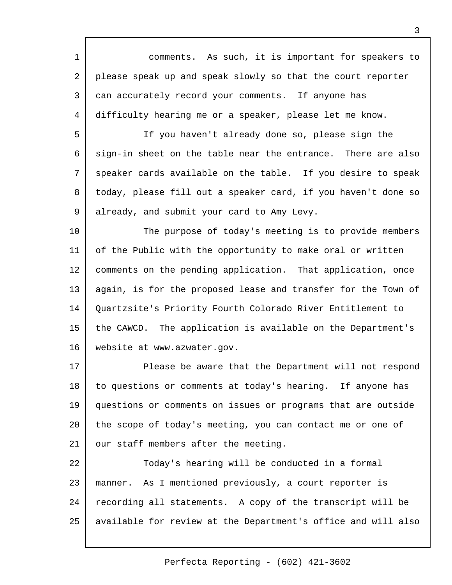comments. As such, it is important for speakers to please speak up and speak slowly so that the court reporter can accurately record your comments. If anyone has difficulty hearing me or a speaker, please let me know. 1 2 3 4

If you haven't already done so, please sign the sign-in sheet on the table near the entrance. There are also speaker cards available on the table. If you desire to speak today, please fill out a speaker card, if you haven't done so already, and submit your card to Amy Levy. 5 6 7 8 9

The purpose of today's meeting is to provide members of the Public with the opportunity to make oral or written comments on the pending application. That application, once again, is for the proposed lease and transfer for the Town of Quartzsite's Priority Fourth Colorado River Entitlement to the CAWCD. The application is available on the Department's website at [www.azwater.gov.](http://www.azwater.gov.)  10 11 12 13 14 15 16

Please be aware that the Department will not respond to questions or comments at today's hearing. If anyone has questions or comments on issues or programs that are outside the scope of today's meeting, you can contact me or one of our staff members after the meeting. 17 18 19 20 21

Today's hearing will be conducted in a formal manner. As I mentioned previously, a court reporter is recording all statements. A copy of the transcript will be available for review at the Department's office and will also 22 23 24 25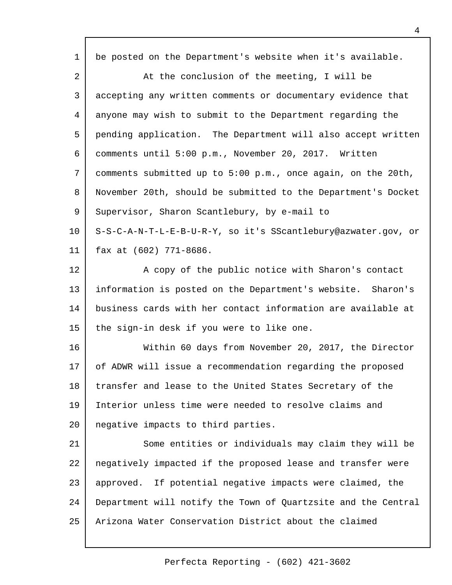| $\mathbf{1}$   | be posted on the Department's website when it's available.    |
|----------------|---------------------------------------------------------------|
| $\overline{a}$ | At the conclusion of the meeting, I will be                   |
| 3              | accepting any written comments or documentary evidence that   |
| 4              | anyone may wish to submit to the Department regarding the     |
| 5              | pending application. The Department will also accept written  |
| 6              | comments until 5:00 p.m., November 20, 2017. Written          |
| 7              | comments submitted up to 5:00 p.m., once again, on the 20th,  |
| 8              | November 20th, should be submitted to the Department's Docket |
| 9              | Supervisor, Sharon Scantlebury, by e-mail to                  |
| 10             | S-S-C-A-N-T-L-E-B-U-R-Y, so it's SScantlebury@azwater.gov, or |
| 11             | fax at (602) 771-8686.                                        |
| 12             | A copy of the public notice with Sharon's contact             |
| 13             | information is posted on the Department's website. Sharon's   |
| 14             | business cards with her contact information are available at  |
| 15             | the sign-in desk if you were to like one.                     |
| 16             | Within 60 days from November 20, 2017, the Director           |
| 17             | of ADWR will issue a recommendation regarding the proposed    |
| 18             | transfer and lease to the United States Secretary of the      |
| 19             | Interior unless time were needed to resolve claims and        |
| 20             | negative impacts to third parties.                            |
| 21             | Some entities or individuals may claim they will be           |
| 22             | negatively impacted if the proposed lease and transfer were   |
| 23             | approved. If potential negative impacts were claimed, the     |
| 24             | Department will notify the Town of Quartzsite and the Central |
| 25             | Arizona Water Conservation District about the claimed         |
|                |                                                               |

- г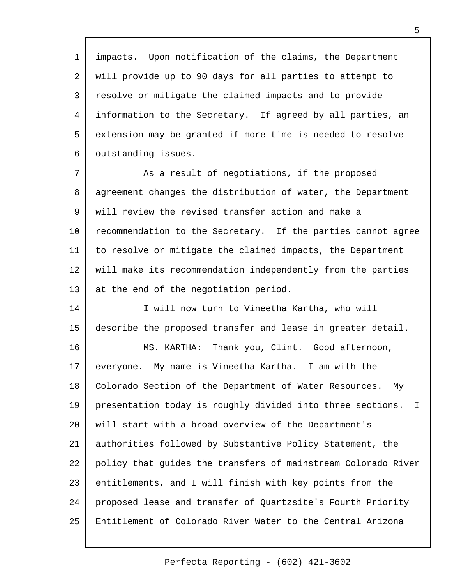impacts. Upon notification of the claims, the Department will provide up to 90 days for all parties to attempt to resolve or mitigate the claimed impacts and to provide information to the Secretary. If agreed by all parties, an extension may be granted if more time is needed to resolve outstanding issues. 1 2 3 4 5 6

As a result of negotiations, if the proposed agreement changes the distribution of water, the Department will review the revised transfer action and make a recommendation to the Secretary. If the parties cannot agree to resolve or mitigate the claimed impacts, the Department will make its recommendation independently from the parties at the end of the negotiation period. 7 8 9 10 11 12 13

I will now turn to Vineetha Kartha, who will describe the proposed transfer and lease in greater detail. 14 15

MS. KARTHA: Thank you, Clint. Good afternoon, everyone. My name is Vineetha Kartha. I am with the Colorado Section of the Department of Water Resources. My presentation today is roughly divided into three sections. I will start with a broad overview of the Department's authorities followed by Substantive Policy Statement, the policy that guides the transfers of mainstream Colorado River entitlements, and I will finish with key points from the proposed lease and transfer of Quartzsite's Fourth Priority Entitlement of Colorado River Water to the Central Arizona 16 17 18 19  $20^{\circ}$ 21 22 23 24 25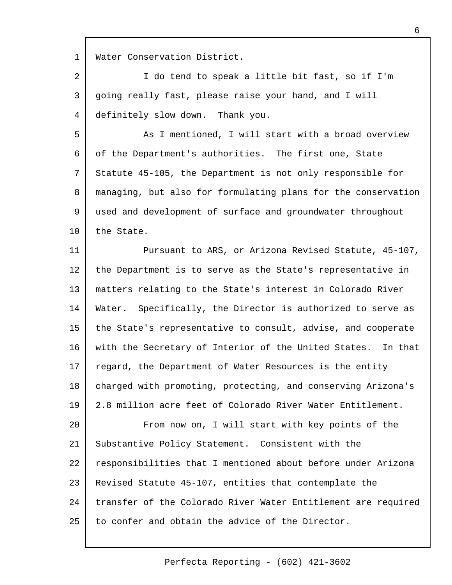Water Conservation District. 1

I do tend to speak a little bit fast, so if I'm going really fast, please raise your hand, and I will definitely slow down. Thank you. 2 3 4

As I mentioned, I will start with a broad overview of the Department's authorities. The first one, State Statute 45-105, the Department is not only responsible for managing, but also for formulating plans for the conservation used and development of surface and groundwater throughout the State. 5 6 7 8 9 10

Pursuant to ARS, or Arizona Revised Statute, 45-107, the Department is to serve as the State's representative in matters relating to the State's interest in Colorado River Water. Specifically, the Director is authorized to serve as the State's representative to consult, advise, and cooperate with the Secretary of Interior of the United States. In that regard, the Department of Water Resources is the entity charged with promoting, protecting, and conserving Arizona's 2.8 million acre feet of Colorado River Water Entitlement. 11 12 13 14 15 16 17 18 19

From now on, I will start with key points of the Substantive Policy Statement. Consistent with the responsibilities that I mentioned about before under Arizona Revised Statute 45-107, entities that contemplate the transfer of the Colorado River Water Entitlement are required to confer and obtain the advice of the Director.  $20^{\circ}$ 21 22 23 24 25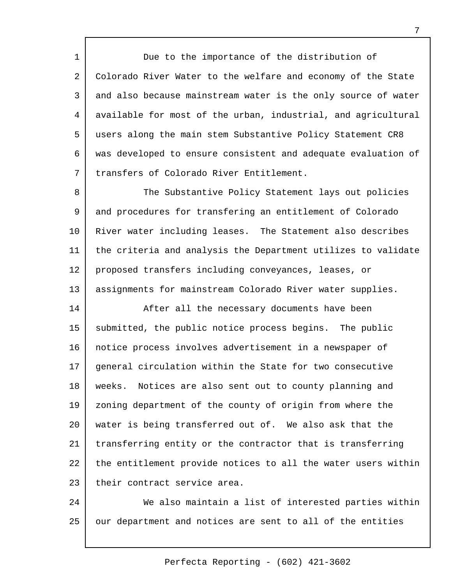Due to the importance of the distribution of Colorado River Water to the welfare and economy of the State and also because mainstream water is the only source of water available for most of the urban, industrial, and agricultural users along the main stem Substantive Policy Statement CR8 was developed to ensure consistent and adequate evaluation of transfers of Colorado River Entitlement. 1 2 3 4 5 6 7

The Substantive Policy Statement lays out policies and procedures for transfering an entitlement of Colorado River water including leases. The Statement also describes the criteria and analysis the Department utilizes to validate proposed transfers including conveyances, leases, or assignments for mainstream Colorado River water supplies. 8 9 10 11 12 13

After all the necessary documents have been submitted, the public notice process begins. The public notice process involves advertisement in a newspaper of general circulation within the State for two consecutive weeks. Notices are also sent out to county planning and zoning department of the county of origin from where the water is being transferred out of. We also ask that the transferring entity or the contractor that is transferring the entitlement provide notices to all the water users within their contract service area. 14 15 16 17 18 19  $20^{\circ}$ 21 22 23

We also maintain a list of interested parties within our department and notices are sent to all of the entities 24 25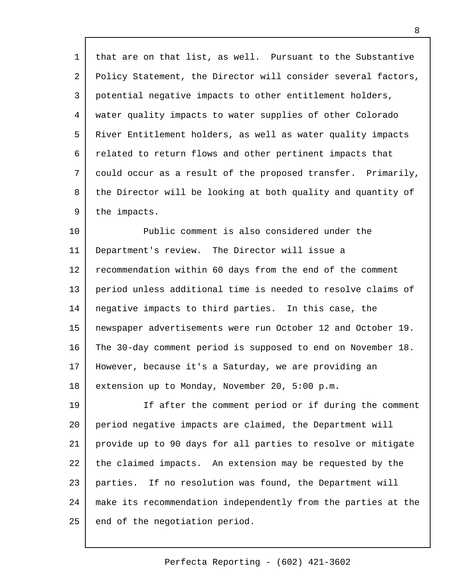that are on that list, as well. Pursuant to the Substantive Policy Statement, the Director will consider several factors, potential negative impacts to other entitlement holders, water quality impacts to water supplies of other Colorado River Entitlement holders, as well as water quality impacts related to return flows and other pertinent impacts that could occur as a result of the proposed transfer. Primarily, the Director will be looking at both quality and quantity of the impacts. 1 2 3 4 5 6 7 8 9

Public comment is also considered under the Department's review. The Director will issue a recommendation within 60 days from the end of the comment period unless additional time is needed to resolve claims of negative impacts to third parties. In this case, the newspaper advertisements were run October 12 and October 19. The 30-day comment period is supposed to end on November 18. However, because it's a Saturday, we are providing an extension up to Monday, November 20, 5:00 p.m. 10 11 12 13 14 15 16 17 18

If after the comment period or if during the comment period negative impacts are claimed, the Department will provide up to 90 days for all parties to resolve or mitigate the claimed impacts. An extension may be requested by the parties. If no resolution was found, the Department will make its recommendation independently from the parties at the end of the negotiation period. 19 20 21 22 23 24 25

Perfecta Reporting - (602) 421-3602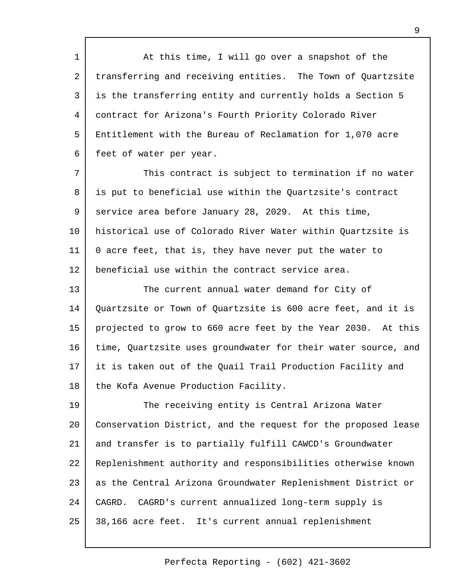At this time, I will go over a snapshot of the transferring and receiving entities. The Town of Quartzsite is the transferring entity and currently holds a Section 5 contract for Arizona's Fourth Priority Colorado River Entitlement with the Bureau of Reclamation for 1,070 acre feet of water per year. 1 2 3 4 5 6

This contract is subject to termination if no water is put to beneficial use within the Quartzsite's contract service area before January 28, 2029. At this time, historical use of Colorado River Water within Quartzsite is 0 acre feet, that is, they have never put the water to beneficial use within the contract service area. 7 8 9 10 11 12

The current annual water demand for City of Quartzsite or Town of Quartzsite is 600 acre feet, and it is projected to grow to 660 acre feet by the Year 2030. At this time, Quartzsite uses groundwater for their water source, and it is taken out of the Quail Trail Production Facility and the Kofa Avenue Production Facility. 13 14 15 16 17 18

The receiving entity is Central Arizona Water Conservation District, and the request for the proposed lease and transfer is to partially fulfill CAWCD's Groundwater Replenishment authority and responsibilities otherwise known as the Central Arizona Groundwater Replenishment District or CAGRD. CAGRD's current annualized long-term supply is 38,166 acre feet. It's current annual replenishment 19 20 21 22 23 24 25

9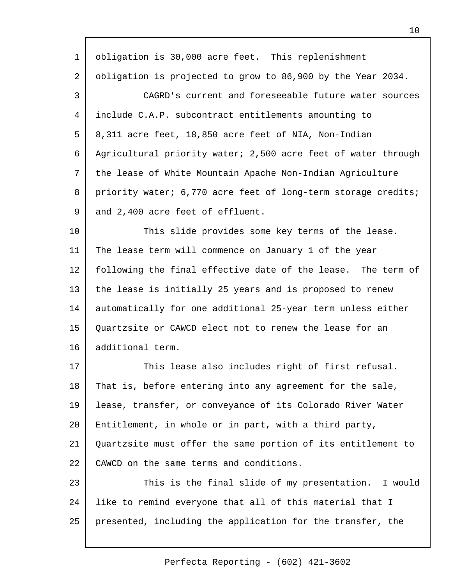| $\mathbf 1$    | obligation is 30,000 acre feet. This replenishment            |
|----------------|---------------------------------------------------------------|
| $\overline{a}$ | obligation is projected to grow to 86,900 by the Year 2034.   |
| 3              | CAGRD's current and foreseeable future water sources          |
| 4              | include C.A.P. subcontract entitlements amounting to          |
| 5              | 8,311 acre feet, 18,850 acre feet of NIA, Non-Indian          |
| 6              | Agricultural priority water; 2,500 acre feet of water through |
| 7              | the lease of White Mountain Apache Non-Indian Agriculture     |
| 8              | priority water; 6,770 acre feet of long-term storage credits; |
| $\mathsf 9$    | and 2,400 acre feet of effluent.                              |
| 10             | This slide provides some key terms of the lease.              |
| 11             | The lease term will commence on January 1 of the year         |
| 12             | following the final effective date of the lease. The term of  |
| 13             | the lease is initially 25 years and is proposed to renew      |
| 14             | automatically for one additional 25-year term unless either   |
| 15             | Quartzsite or CAWCD elect not to renew the lease for an       |
| 16             | additional term.                                              |
| 17             | This lease also includes right of first refusal.              |
| 18             | That is, before entering into any agreement for the sale,     |
| 19             | lease, transfer, or conveyance of its Colorado River Water    |
| 20             | Entitlement, in whole or in part, with a third party,         |
| 21             | Quartzsite must offer the same portion of its entitlement to  |
| 22             | CAWCD on the same terms and conditions.                       |
| 23             | This is the final slide of my presentation. I would           |
| 24             | like to remind everyone that all of this material that I      |
| 25             | presented, including the application for the transfer, the    |
|                |                                                               |

 $\Gamma$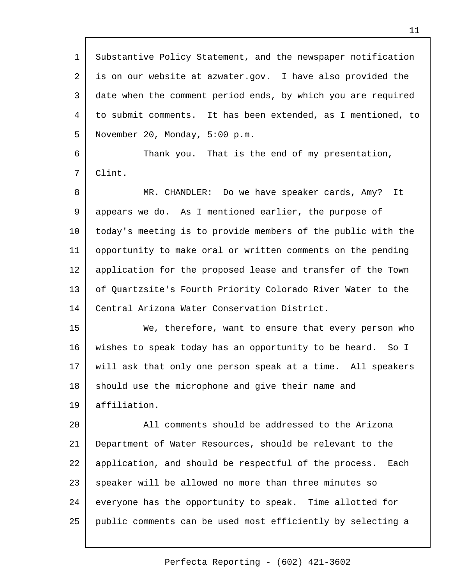| $\mathbf 1$ | Substantive Policy Statement, and the newspaper notification  |
|-------------|---------------------------------------------------------------|
| 2           | is on our website at azwater.gov. I have also provided the    |
| 3           | date when the comment period ends, by which you are required  |
| 4           | to submit comments. It has been extended, as I mentioned, to  |
| 5           | November 20, Monday, 5:00 p.m.                                |
| 6           | Thank you. That is the end of my presentation,                |
| 7           | Clint.                                                        |
| 8           | MR. CHANDLER: Do we have speaker cards, Amy?<br>It            |
| 9           | appears we do. As I mentioned earlier, the purpose of         |
| 10          | today's meeting is to provide members of the public with the  |
| 11          | opportunity to make oral or written comments on the pending   |
| 12          | application for the proposed lease and transfer of the Town   |
| 13          | of Quartzsite's Fourth Priority Colorado River Water to the   |
| 14          | Central Arizona Water Conservation District.                  |
| 15          | We, therefore, want to ensure that every person who           |
| 16          | wishes to speak today has an opportunity to be heard. So I    |
| 17          | will ask that only one person speak at a time. All speakers   |
| 18          | should use the microphone and give their name and             |
| 19          | affiliation.                                                  |
| 20          | All comments should be addressed to the Arizona               |
| 21          | Department of Water Resources, should be relevant to the      |
| 22          | application, and should be respectful of the process.<br>Each |
| 23          | speaker will be allowed no more than three minutes so         |
| 24          | everyone has the opportunity to speak. Time allotted for      |
| 25          | public comments can be used most efficiently by selecting a   |
|             |                                                               |

- г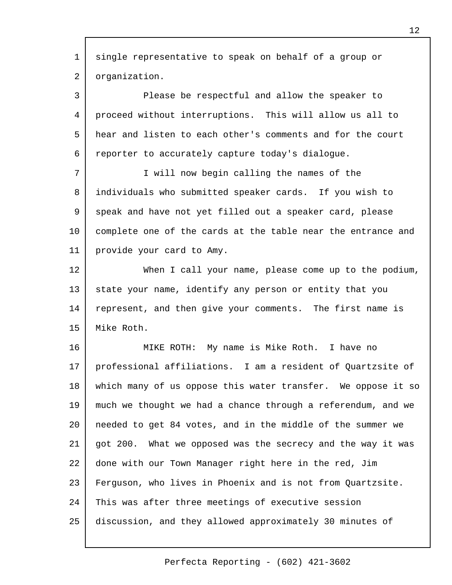single representative to speak on behalf of a group or organization. Please be respectful and allow the speaker to proceed without interruptions. This will allow us all to hear and listen to each other's comments and for the court reporter to accurately capture today's dialogue. I will now begin calling the names of the individuals who submitted speaker cards. If you wish to speak and have not yet filled out a speaker card, please complete one of the cards at the table near the entrance and provide your card to Amy. When I call your name, please come up to the podium, state your name, identify any person or entity that you represent, and then give your comments. The first name is Mike Roth. MIKE ROTH: My name is Mike Roth. I have no 1 2 3 4 5 6 7 8 9 10 11 12 13 14 15 16

professional affiliations. I am a resident of Quartzsite of which many of us oppose this water transfer. We oppose it so much we thought we had a chance through a referendum, and we needed to get 84 votes, and in the middle of the summer we got 200. What we opposed was the secrecy and the way it was done with our Town Manager right here in the red, Jim Ferguson, who lives in Phoenix and is not from Quartzsite. This was after three meetings of executive session discussion, and they allowed approximately 30 minutes of 17 18 19  $20^{\circ}$ 21 22 23 24 25

Perfecta Reporting - (602) 421-3602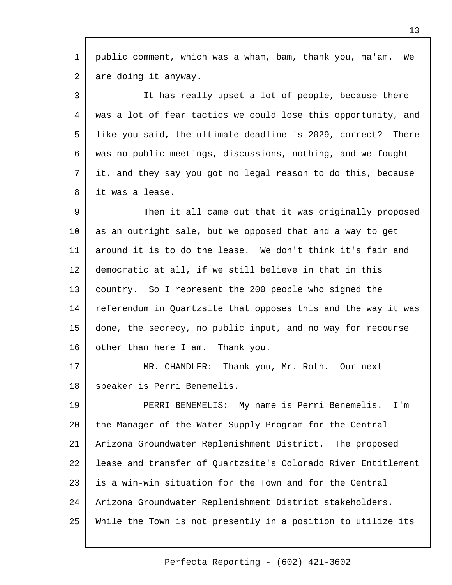public comment, which was a wham, bam, thank you, ma'am. We are doing it anyway. 1 2

It has really upset a lot of people, because there was a lot of fear tactics we could lose this opportunity, and like you said, the ultimate deadline is 2029, correct? There was no public meetings, discussions, nothing, and we fought it, and they say you got no legal reason to do this, because it was a lease. 3 4 5 6 7 8

Then it all came out that it was originally proposed as an outright sale, but we opposed that and a way to get around it is to do the lease. We don't think it's fair and democratic at all, if we still believe in that in this country. So I represent the 200 people who signed the referendum in Quartzsite that opposes this and the way it was done, the secrecy, no public input, and no way for recourse other than here I am. Thank you. 9 10 11 12 13 14 15 16

MR. CHANDLER: Thank you, Mr. Roth. Our next speaker is Perri Benemelis. 17 18

PERRI BENEMELIS: My name is Perri Benemelis. I'm the Manager of the Water Supply Program for the Central Arizona Groundwater Replenishment District. The proposed lease and transfer of Quartzsite's Colorado River Entitlement is a win-win situation for the Town and for the Central Arizona Groundwater Replenishment District stakeholders. While the Town is not presently in a position to utilize its 19 20 21 22 23 24 25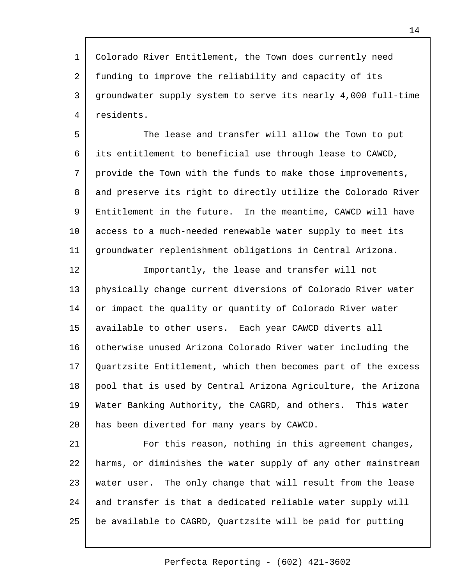Colorado River Entitlement, the Town does currently need funding to improve the reliability and capacity of its groundwater supply system to serve its nearly 4,000 full-time residents. 1 2 3 4

The lease and transfer will allow the Town to put its entitlement to beneficial use through lease to CAWCD, provide the Town with the funds to make those improvements, and preserve its right to directly utilize the Colorado River Entitlement in the future. In the meantime, CAWCD will have access to a much-needed renewable water supply to meet its groundwater replenishment obligations in Central Arizona. 5 6 7 8 9 10 11

Importantly, the lease and transfer will not physically change current diversions of Colorado River water or impact the quality or quantity of Colorado River water available to other users. Each year CAWCD diverts all otherwise unused Arizona Colorado River water including the Quartzsite Entitlement, which then becomes part of the excess pool that is used by Central Arizona Agriculture, the Arizona Water Banking Authority, the CAGRD, and others. This water has been diverted for many years by CAWCD. 12 13 14 15 16 17 18 19 20

For this reason, nothing in this agreement changes, harms, or diminishes the water supply of any other mainstream water user. The only change that will result from the lease and transfer is that a dedicated reliable water supply will be available to CAGRD, Quartzsite will be paid for putting 21 22 23 24 25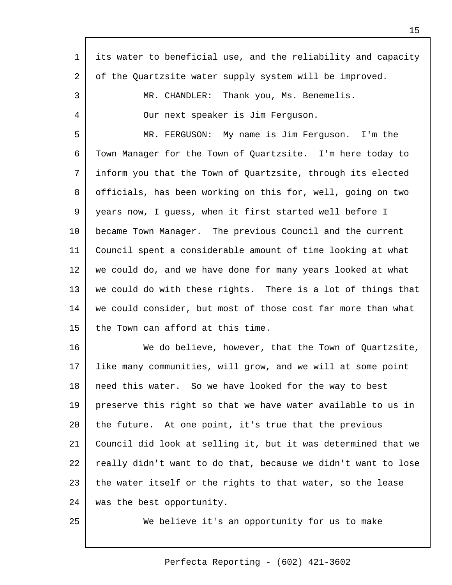| $\mathbf{1}$ | its water to beneficial use, and the reliability and capacity |
|--------------|---------------------------------------------------------------|
| 2            | of the Quartzsite water supply system will be improved.       |
| 3            | MR. CHANDLER: Thank you, Ms. Benemelis.                       |
| 4            | Our next speaker is Jim Ferguson.                             |
| 5            | MR. FERGUSON: My name is Jim Ferguson. I'm the                |
| 6            | Town Manager for the Town of Quartzsite. I'm here today to    |
| 7            | inform you that the Town of Quartzsite, through its elected   |
| 8            | officials, has been working on this for, well, going on two   |
| 9            | years now, I quess, when it first started well before I       |
| 10           | became Town Manager. The previous Council and the current     |
| 11           | Council spent a considerable amount of time looking at what   |
| 12           | we could do, and we have done for many years looked at what   |
| 13           | we could do with these rights. There is a lot of things that  |
| 14           | we could consider, but most of those cost far more than what  |
| 15           | the Town can afford at this time.                             |
| 16           | We do believe, however, that the Town of Quartzsite,          |
| 17           | like many communities, will grow, and we will at some point   |
| 18           | need this water. So we have looked for the way to best        |
| 19           | preserve this right so that we have water available to us in  |
| 20           | the future. At one point, it's true that the previous         |
| 21           | Council did look at selling it, but it was determined that we |
| 22           | really didn't want to do that, because we didn't want to lose |
| 23           | the water itself or the rights to that water, so the lease    |
| 24           | was the best opportunity.                                     |
| 25           | We believe it's an opportunity for us to make                 |

 $\Gamma$ 

We believe it's an opportunity for us to make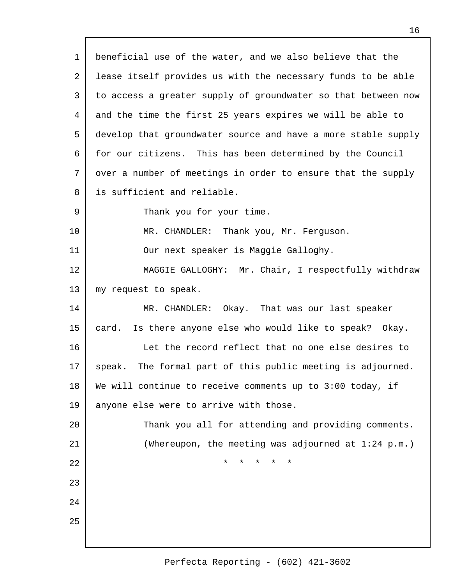beneficial use of the water, and we also believe that the lease itself provides us with the necessary funds to be able to access a greater supply of groundwater so that between now and the time the first 25 years expires we will be able to develop that groundwater source and have a more stable supply for our citizens. This has been determined by the Council over a number of meetings in order to ensure that the supply is sufficient and reliable. Thank you for your time. MR. CHANDLER: Thank you, Mr. Ferguson. Our next speaker is Maggie Galloghy. MAGGIE GALLOGHY: Mr. Chair, I respectfully withdraw my request to speak. MR. CHANDLER: Okay. That was our last speaker card. Is there anyone else who would like to speak? Okay. Let the record reflect that no one else desires to speak. The formal part of this public meeting is adjourned. We will continue to receive comments up to 3:00 today, if anyone else were to arrive with those. Thank you all for attending and providing comments. (Whereupon, the meeting was adjourned at 1:24 p.m.) \* \* \* \* \* 1 2 3 4 5 6 7 8 9 10 11 12 13 14 15 16 17 18 19  $20^{\circ}$ 21 22 23 24 25

16